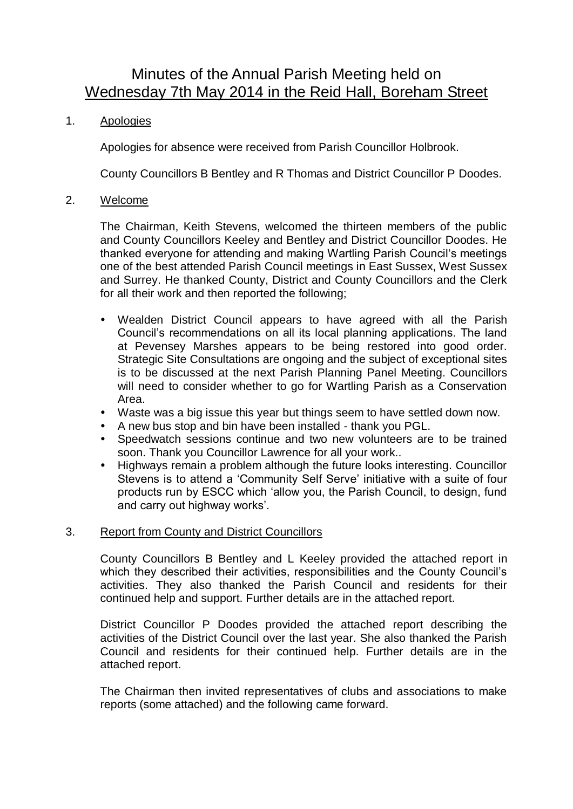# Minutes of the Annual Parish Meeting held on Wednesday 7th May 2014 in the Reid Hall, Boreham Street

## 1. Apologies

Apologies for absence were received from Parish Councillor Holbrook.

County Councillors B Bentley and R Thomas and District Councillor P Doodes.

#### 2. Welcome

The Chairman, Keith Stevens, welcomed the thirteen members of the public and County Councillors Keeley and Bentley and District Councillor Doodes. He thanked everyone for attending and making Wartling Parish Council's meetings one of the best attended Parish Council meetings in East Sussex, West Sussex and Surrey. He thanked County, District and County Councillors and the Clerk for all their work and then reported the following;

- Wealden District Council appears to have agreed with all the Parish Council's recommendations on all its local planning applications. The land at Pevensey Marshes appears to be being restored into good order. Strategic Site Consultations are ongoing and the subject of exceptional sites is to be discussed at the next Parish Planning Panel Meeting. Councillors will need to consider whether to go for Wartling Parish as a Conservation Area.
- Waste was a big issue this year but things seem to have settled down now.
- A new bus stop and bin have been installed thank you PGL.
- Speedwatch sessions continue and two new volunteers are to be trained soon. Thank you Councillor Lawrence for all your work..
- Highways remain a problem although the future looks interesting. Councillor Stevens is to attend a 'Community Self Serve' initiative with a suite of four products run by ESCC which 'allow you, the Parish Council, to design, fund and carry out highway works'.

### 3. Report from County and District Councillors

County Councillors B Bentley and L Keeley provided the attached report in which they described their activities, responsibilities and the County Council's activities. They also thanked the Parish Council and residents for their continued help and support. Further details are in the attached report.

District Councillor P Doodes provided the attached report describing the activities of the District Council over the last year. She also thanked the Parish Council and residents for their continued help. Further details are in the attached report.

The Chairman then invited representatives of clubs and associations to make reports (some attached) and the following came forward.